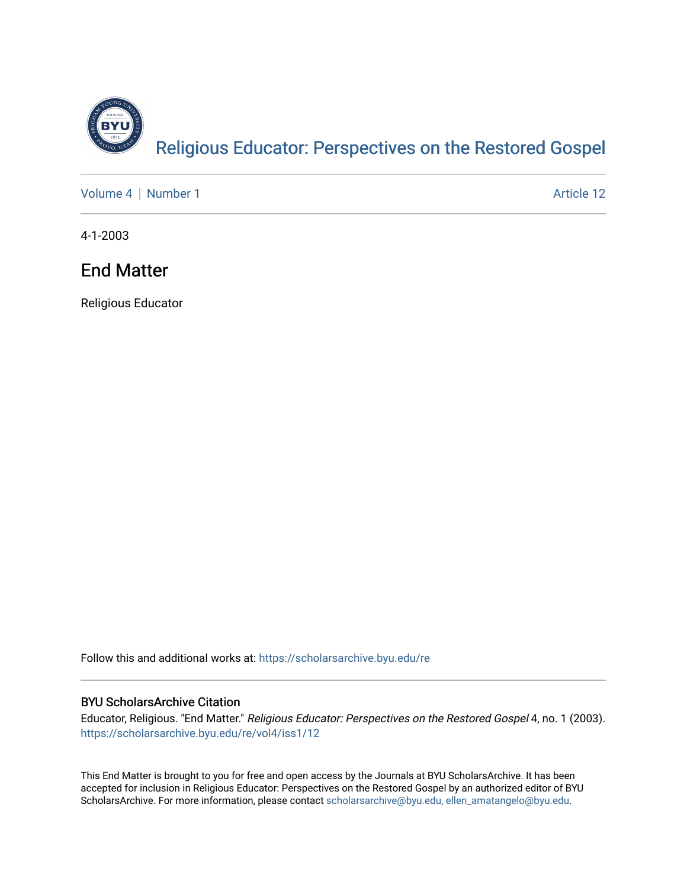

[Volume 4](https://scholarsarchive.byu.edu/re/vol4) | [Number 1](https://scholarsarchive.byu.edu/re/vol4/iss1) Article 12

4-1-2003

### End Matter

Religious Educator

Follow this and additional works at: [https://scholarsarchive.byu.edu/re](https://scholarsarchive.byu.edu/re?utm_source=scholarsarchive.byu.edu%2Fre%2Fvol4%2Fiss1%2F12&utm_medium=PDF&utm_campaign=PDFCoverPages)

#### BYU ScholarsArchive Citation

Educator, Religious. "End Matter." Religious Educator: Perspectives on the Restored Gospel 4, no. 1 (2003). [https://scholarsarchive.byu.edu/re/vol4/iss1/12](https://scholarsarchive.byu.edu/re/vol4/iss1/12?utm_source=scholarsarchive.byu.edu%2Fre%2Fvol4%2Fiss1%2F12&utm_medium=PDF&utm_campaign=PDFCoverPages) 

This End Matter is brought to you for free and open access by the Journals at BYU ScholarsArchive. It has been accepted for inclusion in Religious Educator: Perspectives on the Restored Gospel by an authorized editor of BYU ScholarsArchive. For more information, please contact [scholarsarchive@byu.edu, ellen\\_amatangelo@byu.edu.](mailto:scholarsarchive@byu.edu,%20ellen_amatangelo@byu.edu)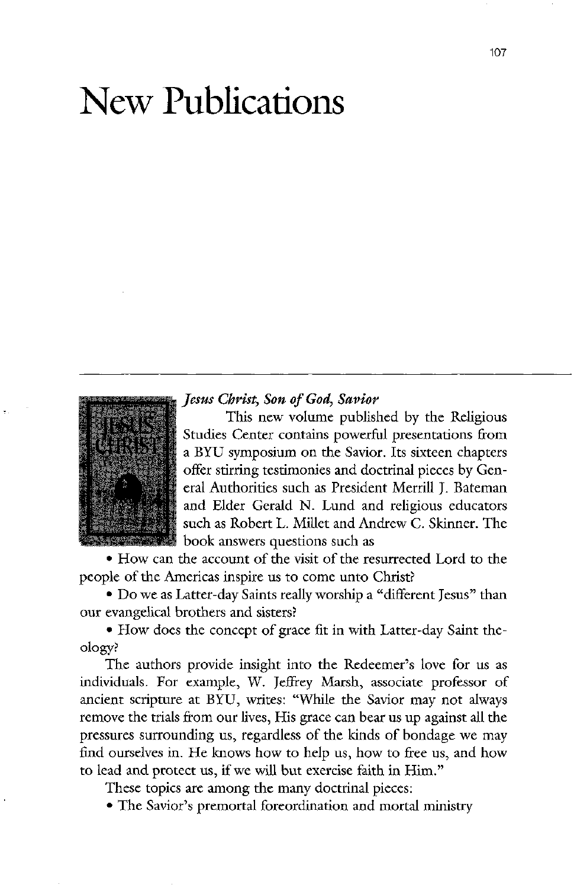

• How can the account of the visit of the resurrected Lord to the people of the Americas inspire us to come unto Christ?

# new publications



Jesus Christ, Son of God, Savior

This new volume published by the Religious Studies Center contains powerful presentations from a BYU symposium on the Savior. Its sixteen chapters offer stirring testimonies and doctrinal pieces by General Authorities such as President Merrill J. Bateman and Elder Gerald N. Lund and religious educators such as Robert L. Millet and Andrew C. Skinner. The book answers questions such as

• Do we as Latter-day Saints really worship a "different Jesus" than our evangelical brothers and sisters

• How does the concept of grace fit in with Latter-day Saint theology

The authors provide insight into the Redeemer's love for us as individuals. For example, W. Jeffrey Marsh, associate professor of ancient scripture at BYU, writes: "While the Savior may not always remove the trials from our lives, His grace can bear us up against all the pressures surrounding us, regardless of the kinds of bondage we may find ourselves in. He knows how to help us, how to free us, and how to lead and protect us, if we will but exercise faith in Him."

These topics are among the many doctrinal pieces:

• The Savior's premortal foreordination and mortal ministry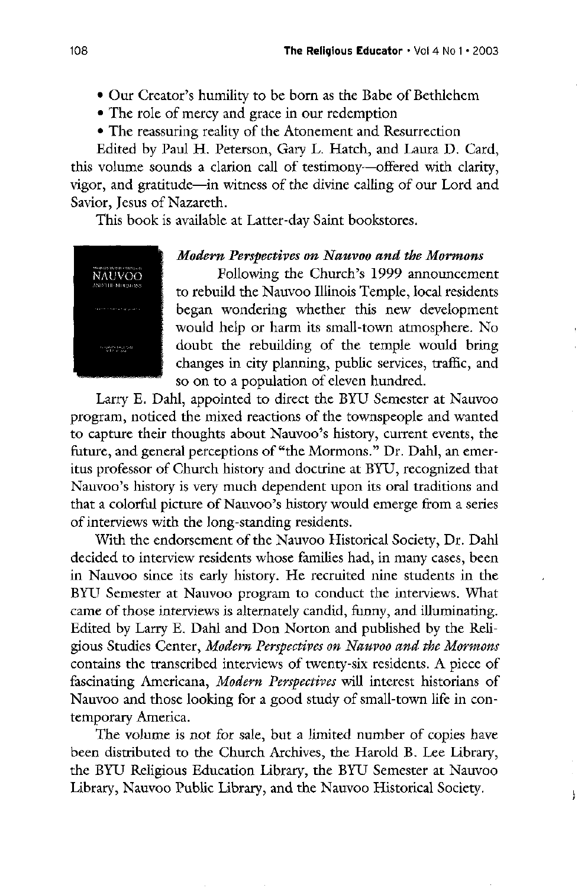- Our Creator's humility to be born as the Babe of Bethlehem
- The role of mercy and grace in our redemption
- The reassuring reality of the Atonement and Resurrection

Edited by Paul H. Peterson, Gary L. Hatch, and Laura D. Card, this volume sounds a clarion call of testimony—offered with clarity, vigor, and gratitude—in witness of the divine calling of our Lord and Savior, Jesus of Nazareth.

This book is available at Latter-day Saint bookstores.



## Modern Perspectives on Nauvoo and the Mormons

Following the Church's 1999 announcement to rebuild the Nauvoo Illinois Temple, local residents began wondering whether this new development would help or harm its small-town atmosphere. No doubt the rebuilding of the temple would bring changes in city planning, public services, traffic, and so on to a population of eleven hundred

Larry E. Dahl, appointed to direct the BYU Semester at Nauvoo program, noticed the mixed reactions of the townspeople and wanted to capture their thoughts about Nauvoo's history, current events, the future, and general perceptions of "the Mormons." Dr. Dahl, an emeritus professor of church history and doctrine at BYU recognized that Nauvoo's history is very much dependent upon its oral traditions and that a colorful picture of Nauvoo's history would emerge from a series of interviews with the long-standing residents. With the endorsement of the Nauvoo Historical Society, Dr. Dahl decided to interview residents whose families had, in many cases, been in Nauvoo since its early history. He recruited nine students in the BYU Semester at Nauvoo program to conduct the interviews. What came of those interviews is alternately candid, funny, and illuminating. Edited by Larry E. Dahl and Don Norton and published by the Religious Studies Center, Modern Perspectives on Nauvoo and the Mormons contains the transcribed interviews of twenty-six residents. A piece of fascinating Americana, Modern Perspectives will interest historians of Nauvoo and those looking for a good study of small-town life in contemporary America. The volume is not for sale, but a limited number of copies have been distributed to the Church Archives, the Harold B. Lee Library, the BYU Religious Education Library, the BYU Semester at Nauvoo Library, Nauvoo Public Library, and the Nauvoo Historical Society.

ļ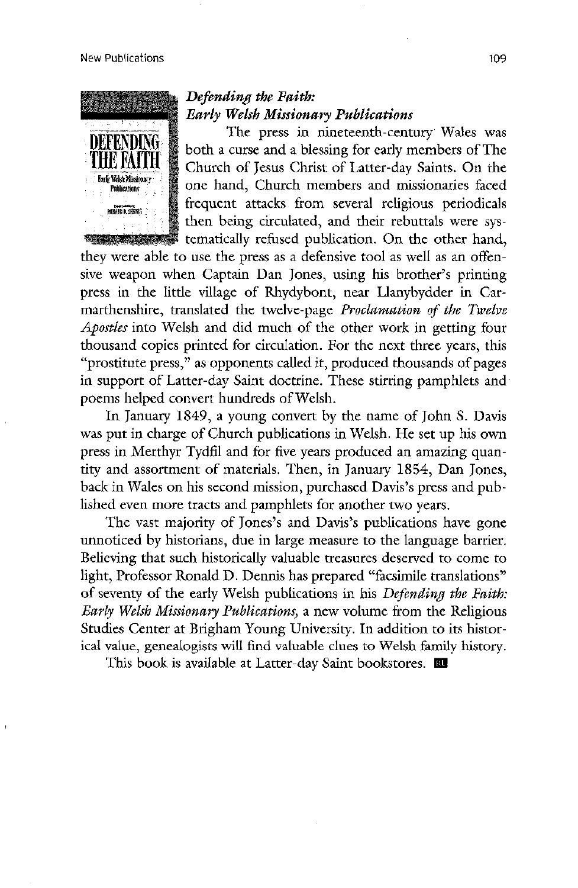they were able to use the press as a defensive tool as well as an offensive weapon when Captain Dan Jones, using his brother's printing press in the little village of Rhydybont, near Llanybydder in Carmarthenshire, translated the twelve-page *Proclamation of the Twelve* Apostles into Welsh and did much of the other work in getting four thousand copies printed for circulation. For the next three years, this "prostitute press," as opponents called it, produced thousands of pages in support of Latter-day Saint doctrine. These stirring pamphlets and poems helped convert hundreds of Welsh.

In January 1849, a young convert by the name of John S. Davis was put in charge of Church publications in Welsh. He set up his own press in Merthyr Tydfil and for five years produced an amazing quantity and assortment of materials. Then, in January 1854, Dan Jones, back in Wales on his second mission, purchased Davis's press and published even more tracts and pamphlets for another two years. The vast majority of Jones's and Davis's publications have gone unnoticed by historians, due in large measure to the language barrier. believing that such historically valuable treasures deserved to come to light, Professor Ronald D. Dennis has prepared "facsimile translations" of seventy of the early Welsh publications in his Defending the Faith: Early Welsh Missionary Publications, a new volume from the Religious Studies Center at Brigham Young University. In addition to its historical value, genealogists will find valuable clues to Welsh family history. This book is available at Latter-day Saint bookstores.  $\blacksquare$ 



# Defending the Faith: Early Welsh Missionary Publications

The press in nineteenth-century Wales was both a curse and a blessing for early members of The  $\mathbb S$  Church of Jesus Christ of Latter-day Saints. On the one hand, Church members and missionaries faced frequent attacks from several religious periodicals then being circulated, and their rebuttals were systematically refused publication. On the other hand,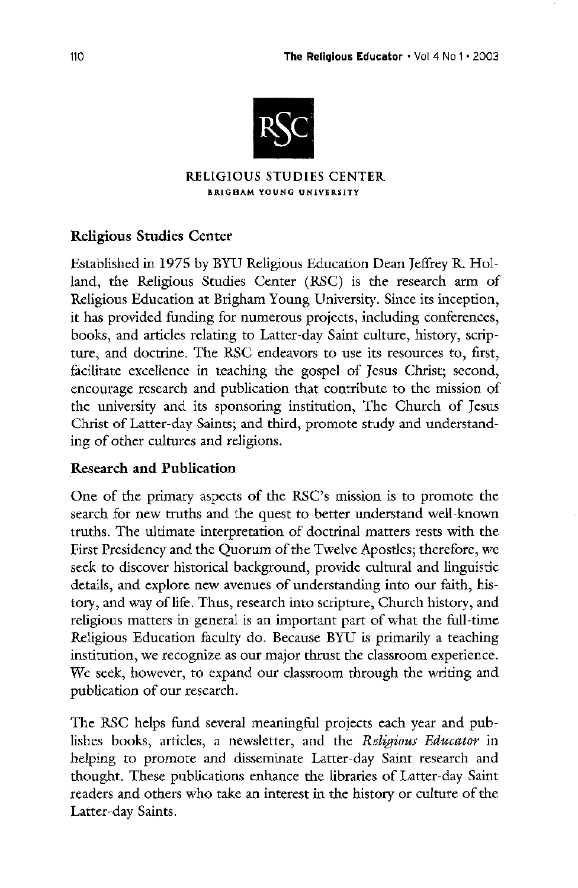

## RELIGIOUS STUDIES CENTER BRIGHAM YOUNG university

# Religious Studies Center

Established in 1975 by BYU Religious Education Dean Jeffrey R. Holland, the Religious Studies Center (RSC) is the research arm of Religious Education at Brigham Young University. Since its inception, it has provided funding for numerous projects, including conferences, books, and articles relating to Latter-day Saint culture, history, scripture, and doctrine. The RSC endeavors to use its resources to, first, facilitate excellence in teaching the gospel of Jesus Christ; second, encourage research and publication that contribute to the mission of the university and its sponsoring institution, The Church of Jesus Christ of Latter-day Saints; and third, promote study and understanding of other cultures and religions

# Research and Publication

One of the primary aspects of the RSC's mission is to promote the search for new truths and the quest to better understand well-known truths. The ultimate interpretation of doctrinal matters rests with the First Presidency and the Quorum of the Twelve Apostles; therefore, we seek to discover historical background, provide cultural and linguistic details, and explore new avenues of understanding into our faith, history, and way of life. Thus, research into scripture, Church history, and religious matters in general is an important part of what the full-time Religious Education faculty do. Because BYU is primarily a teaching institution, we recognize as our major thrust the classroom experience. We seek, however, to expand our classroom through the writing and publication of our research

The RSC helps fund several meaningful projects each year and publishes books, articles, a newsletter, and the Religious Educator in helping to promote and disseminate Latter-day Saint research and thought. These publications enhance the libraries of Latter-day Saint readers and others who take an interest in the history or culture of the Latter-day Saints.